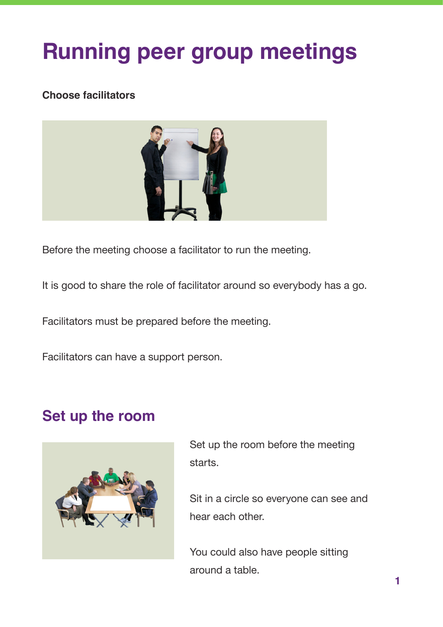# **Running peer group meetings**

#### **Choose facilitators**



Before the meeting choose a facilitator to run the meeting.

It is good to share the role of facilitator around so everybody has a go.

Facilitators must be prepared before the meeting.

Facilitators can have a support person.

#### **Set up the room**



Set up the room before the meeting starts.

Sit in a circle so everyone can see and hear each other.

You could also have people sitting around a table.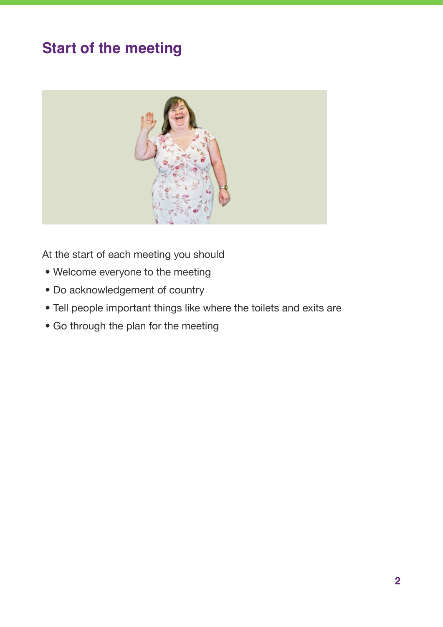# **Start of the meeting**



At the start of each meeting you should

- Welcome everyone to the meeting
- Do acknowledgement of country
- Tell people important things like where the toilets and exits are
- Go through the plan for the meeting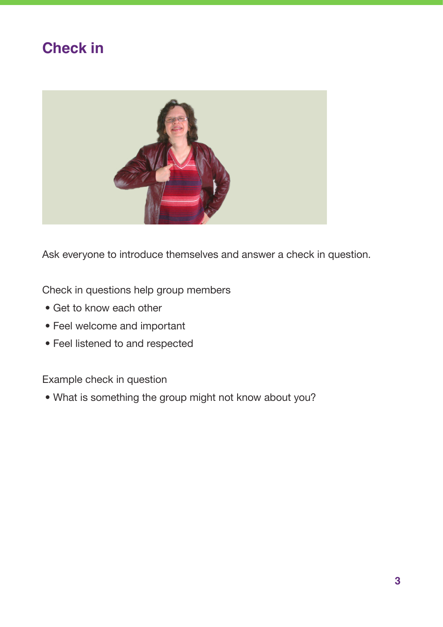## **Check in**



Ask everyone to introduce themselves and answer a check in question.

Check in questions help group members

- Get to know each other
- Feel welcome and important
- Feel listened to and respected

Example check in question

• What is something the group might not know about you?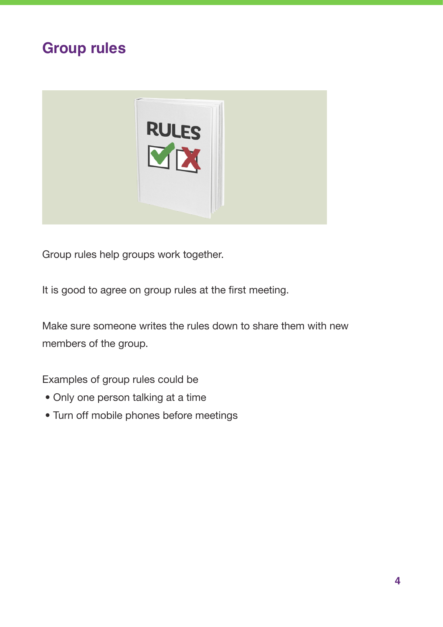## **Group rules**



Group rules help groups work together.

It is good to agree on group rules at the first meeting.

Make sure someone writes the rules down to share them with new members of the group.

Examples of group rules could be

- Only one person talking at a time
- Turn off mobile phones before meetings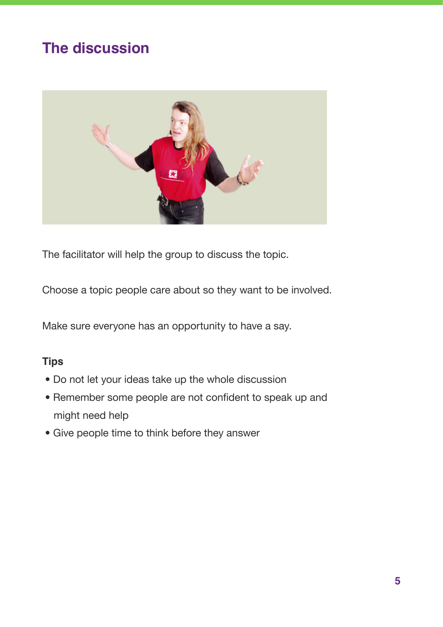# **The discussion**



The facilitator will help the group to discuss the topic.

Choose a topic people care about so they want to be involved.

Make sure everyone has an opportunity to have a say.

#### **Tips**

- Do not let your ideas take up the whole discussion
- Remember some people are not confident to speak up and might need help
- Give people time to think before they answer